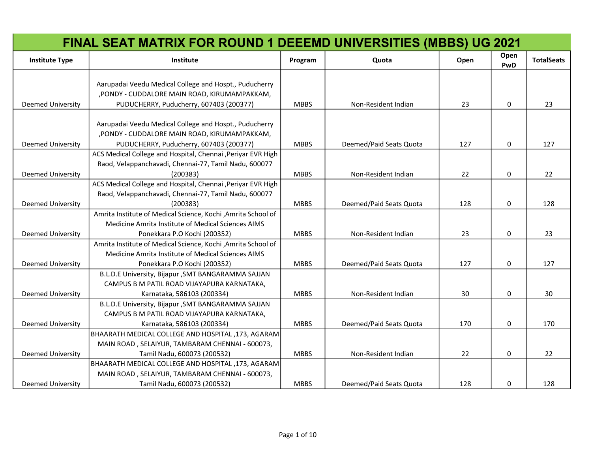|                          | <b>FINAL SEAT MATRIX FOR ROUND 1 DEEEMD UNIVERSITIES (MBBS) UG 2021</b>           |             |                         |      |              |                   |
|--------------------------|-----------------------------------------------------------------------------------|-------------|-------------------------|------|--------------|-------------------|
| <b>Institute Type</b>    | Institute                                                                         | Program     | Quota                   | Open | Open<br>PwD  | <b>TotalSeats</b> |
|                          | Aarupadai Veedu Medical College and Hospt., Puducherry                            |             |                         |      |              |                   |
|                          | , PONDY - CUDDALORE MAIN ROAD, KIRUMAMPAKKAM,                                     |             |                         |      |              |                   |
| <b>Deemed University</b> | PUDUCHERRY, Puducherry, 607403 (200377)                                           | <b>MBBS</b> | Non-Resident Indian     | 23   | $\mathbf{0}$ | 23                |
|                          |                                                                                   |             |                         |      |              |                   |
|                          | Aarupadai Veedu Medical College and Hospt., Puducherry                            |             |                         |      |              |                   |
|                          | , PONDY - CUDDALORE MAIN ROAD, KIRUMAMPAKKAM,                                     |             |                         |      |              |                   |
| Deemed University        | PUDUCHERRY, Puducherry, 607403 (200377)                                           | <b>MBBS</b> | Deemed/Paid Seats Quota | 127  | 0            | 127               |
|                          | ACS Medical College and Hospital, Chennai , Periyar EVR High                      |             |                         |      |              |                   |
|                          | Raod, Velappanchavadi, Chennai-77, Tamil Nadu, 600077                             |             |                         |      |              |                   |
| <b>Deemed University</b> | (200383)                                                                          | <b>MBBS</b> | Non-Resident Indian     | 22   | 0            | 22                |
|                          | ACS Medical College and Hospital, Chennai , Periyar EVR High                      |             |                         |      |              |                   |
|                          | Raod, Velappanchavadi, Chennai-77, Tamil Nadu, 600077                             |             |                         |      |              |                   |
| Deemed University        | (200383)                                                                          | <b>MBBS</b> | Deemed/Paid Seats Quota | 128  | 0            | 128               |
|                          | Amrita Institute of Medical Science, Kochi ,Amrita School of                      |             |                         |      |              |                   |
|                          | Medicine Amrita Institute of Medical Sciences AIMS                                |             |                         |      |              |                   |
| <b>Deemed University</b> | Ponekkara P.O Kochi (200352)                                                      | <b>MBBS</b> | Non-Resident Indian     | 23   | 0            | 23                |
|                          | Amrita Institute of Medical Science, Kochi ,Amrita School of                      |             |                         |      |              |                   |
|                          | Medicine Amrita Institute of Medical Sciences AIMS                                |             |                         |      |              |                   |
| <b>Deemed University</b> | Ponekkara P.O Kochi (200352)                                                      | <b>MBBS</b> | Deemed/Paid Seats Quota | 127  | $\mathbf 0$  | 127               |
|                          | B.L.D.E University, Bijapur , SMT BANGARAMMA SAJJAN                               |             |                         |      |              |                   |
|                          | CAMPUS B M PATIL ROAD VIJAYAPURA KARNATAKA,                                       |             |                         |      |              |                   |
| <b>Deemed University</b> | Karnataka, 586103 (200334)                                                        | <b>MBBS</b> | Non-Resident Indian     | 30   | 0            | 30                |
|                          | B.L.D.E University, Bijapur , SMT BANGARAMMA SAJJAN                               |             |                         |      |              |                   |
|                          | CAMPUS B M PATIL ROAD VIJAYAPURA KARNATAKA,                                       |             |                         |      |              |                   |
| <b>Deemed University</b> | Karnataka, 586103 (200334)                                                        | <b>MBBS</b> | Deemed/Paid Seats Quota | 170  | 0            | 170               |
|                          | BHAARATH MEDICAL COLLEGE AND HOSPITAL ,173, AGARAM                                |             |                         |      |              |                   |
|                          | MAIN ROAD, SELAIYUR, TAMBARAM CHENNAI - 600073,                                   |             |                         |      |              |                   |
| <b>Deemed University</b> | Tamil Nadu, 600073 (200532)<br>BHAARATH MEDICAL COLLEGE AND HOSPITAL ,173, AGARAM | <b>MBBS</b> | Non-Resident Indian     | 22   | 0            | 22                |
|                          | MAIN ROAD, SELAIYUR, TAMBARAM CHENNAI - 600073,                                   |             |                         |      |              |                   |
| <b>Deemed University</b> | Tamil Nadu, 600073 (200532)                                                       | <b>MBBS</b> | Deemed/Paid Seats Quota | 128  | 0            | 128               |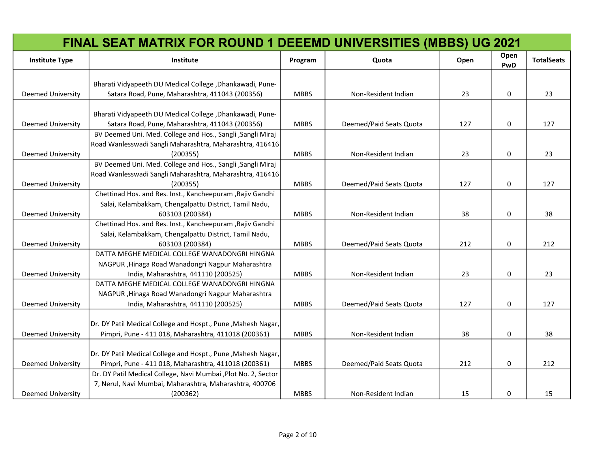|                          | <b>FINAL SEAT MATRIX FOR ROUND 1 DEEEMD UNIVERSITIES (MBBS) UG 2021</b>                                      |             |                         |      |             |                   |
|--------------------------|--------------------------------------------------------------------------------------------------------------|-------------|-------------------------|------|-------------|-------------------|
| <b>Institute Type</b>    | Institute                                                                                                    | Program     | Quota                   | Open | Open<br>PwD | <b>TotalSeats</b> |
|                          |                                                                                                              |             |                         |      |             |                   |
| <b>Deemed University</b> | Bharati Vidyapeeth DU Medical College , Dhankawadi, Pune-<br>Satara Road, Pune, Maharashtra, 411043 (200356) | <b>MBBS</b> | Non-Resident Indian     | 23   | $\mathbf 0$ | 23                |
|                          |                                                                                                              |             |                         |      |             |                   |
|                          | Bharati Vidyapeeth DU Medical College, Dhankawadi, Pune-                                                     |             |                         |      |             |                   |
| <b>Deemed University</b> | Satara Road, Pune, Maharashtra, 411043 (200356)                                                              | <b>MBBS</b> | Deemed/Paid Seats Quota | 127  | 0           | 127               |
|                          | BV Deemed Uni. Med. College and Hos., Sangli , Sangli Miraj                                                  |             |                         |      |             |                   |
|                          | Road Wanlesswadi Sangli Maharashtra, Maharashtra, 416416                                                     |             |                         |      |             |                   |
| <b>Deemed University</b> | (200355)                                                                                                     | <b>MBBS</b> | Non-Resident Indian     | 23   | 0           | 23                |
|                          | BV Deemed Uni. Med. College and Hos., Sangli, Sangli Miraj                                                   |             |                         |      |             |                   |
|                          | Road Wanlesswadi Sangli Maharashtra, Maharashtra, 416416                                                     |             |                         |      |             |                   |
| <b>Deemed University</b> | (200355)                                                                                                     | <b>MBBS</b> | Deemed/Paid Seats Quota | 127  | $\mathbf 0$ | 127               |
|                          | Chettinad Hos. and Res. Inst., Kancheepuram, Rajiv Gandhi                                                    |             |                         |      |             |                   |
|                          | Salai, Kelambakkam, Chengalpattu District, Tamil Nadu,                                                       |             |                         |      |             |                   |
| <b>Deemed University</b> | 603103 (200384)                                                                                              | <b>MBBS</b> | Non-Resident Indian     | 38   | $\Omega$    | 38                |
|                          | Chettinad Hos. and Res. Inst., Kancheepuram, Rajiv Gandhi                                                    |             |                         |      |             |                   |
|                          | Salai, Kelambakkam, Chengalpattu District, Tamil Nadu,                                                       |             |                         |      |             |                   |
| <b>Deemed University</b> | 603103 (200384)                                                                                              | <b>MBBS</b> | Deemed/Paid Seats Quota | 212  | 0           | 212               |
|                          | DATTA MEGHE MEDICAL COLLEGE WANADONGRI HINGNA                                                                |             |                         |      |             |                   |
|                          | NAGPUR, Hinaga Road Wanadongri Nagpur Maharashtra                                                            |             |                         |      |             |                   |
| <b>Deemed University</b> | India, Maharashtra, 441110 (200525)                                                                          | <b>MBBS</b> | Non-Resident Indian     | 23   | 0           | 23                |
|                          | DATTA MEGHE MEDICAL COLLEGE WANADONGRI HINGNA                                                                |             |                         |      |             |                   |
|                          | NAGPUR, Hinaga Road Wanadongri Nagpur Maharashtra                                                            |             |                         |      |             |                   |
| <b>Deemed University</b> | India, Maharashtra, 441110 (200525)                                                                          | <b>MBBS</b> | Deemed/Paid Seats Quota | 127  | 0           | 127               |
|                          | Dr. DY Patil Medical College and Hospt., Pune , Mahesh Nagar,                                                |             |                         |      |             |                   |
| <b>Deemed University</b> | Pimpri, Pune - 411 018, Maharashtra, 411018 (200361)                                                         | <b>MBBS</b> | Non-Resident Indian     | 38   | 0           | 38                |
|                          |                                                                                                              |             |                         |      |             |                   |
|                          | Dr. DY Patil Medical College and Hospt., Pune, Mahesh Nagar,                                                 |             |                         |      |             |                   |
| <b>Deemed University</b> | Pimpri, Pune - 411 018, Maharashtra, 411018 (200361)                                                         | <b>MBBS</b> | Deemed/Paid Seats Quota | 212  | 0           | 212               |
|                          | Dr. DY Patil Medical College, Navi Mumbai , Plot No. 2, Sector                                               |             |                         |      |             |                   |
|                          | 7, Nerul, Navi Mumbai, Maharashtra, Maharashtra, 400706                                                      |             |                         |      |             |                   |
| <b>Deemed University</b> | (200362)                                                                                                     | <b>MBBS</b> | Non-Resident Indian     | 15   | 0           | 15                |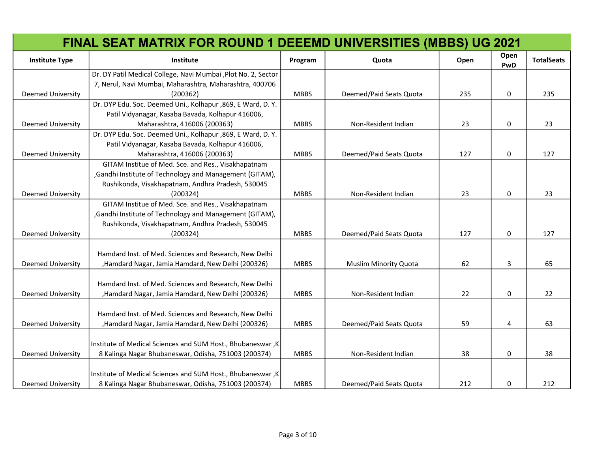|                          | <b>FINAL SEAT MATRIX FOR ROUND 1 DEEEMD UNIVERSITIES (MBBS) UG 2021</b> |             |                              |      |             |                   |
|--------------------------|-------------------------------------------------------------------------|-------------|------------------------------|------|-------------|-------------------|
| <b>Institute Type</b>    | <b>Institute</b>                                                        | Program     | Quota                        | Open | Open<br>PwD | <b>TotalSeats</b> |
|                          | Dr. DY Patil Medical College, Navi Mumbai , Plot No. 2, Sector          |             |                              |      |             |                   |
|                          | 7, Nerul, Navi Mumbai, Maharashtra, Maharashtra, 400706                 |             |                              |      |             |                   |
| <b>Deemed University</b> | (200362)                                                                | <b>MBBS</b> | Deemed/Paid Seats Quota      | 235  | 0           | 235               |
|                          | Dr. DYP Edu. Soc. Deemed Uni., Kolhapur ,869, E Ward, D. Y.             |             |                              |      |             |                   |
|                          | Patil Vidyanagar, Kasaba Bavada, Kolhapur 416006,                       |             |                              |      |             |                   |
| <b>Deemed University</b> | Maharashtra, 416006 (200363)                                            | <b>MBBS</b> | Non-Resident Indian          | 23   | 0           | 23                |
|                          | Dr. DYP Edu. Soc. Deemed Uni., Kolhapur ,869, E Ward, D. Y.             |             |                              |      |             |                   |
|                          | Patil Vidyanagar, Kasaba Bavada, Kolhapur 416006,                       |             |                              |      |             |                   |
| <b>Deemed University</b> | Maharashtra, 416006 (200363)                                            | <b>MBBS</b> | Deemed/Paid Seats Quota      | 127  | 0           | 127               |
|                          | GITAM Institue of Med. Sce. and Res., Visakhapatnam                     |             |                              |      |             |                   |
|                          | , Gandhi Institute of Technology and Management (GITAM),                |             |                              |      |             |                   |
|                          | Rushikonda, Visakhapatnam, Andhra Pradesh, 530045                       |             |                              |      |             |                   |
| <b>Deemed University</b> | (200324)                                                                | <b>MBBS</b> | Non-Resident Indian          | 23   | 0           | 23                |
|                          | GITAM Institue of Med. Sce. and Res., Visakhapatnam                     |             |                              |      |             |                   |
|                          | , Gandhi Institute of Technology and Management (GITAM),                |             |                              |      |             |                   |
|                          | Rushikonda, Visakhapatnam, Andhra Pradesh, 530045                       |             |                              |      |             |                   |
| <b>Deemed University</b> | (200324)                                                                | <b>MBBS</b> | Deemed/Paid Seats Quota      | 127  | 0           | 127               |
|                          |                                                                         |             |                              |      |             |                   |
|                          | Hamdard Inst. of Med. Sciences and Research, New Delhi                  |             |                              |      |             |                   |
| <b>Deemed University</b> | , Hamdard Nagar, Jamia Hamdard, New Delhi (200326)                      | <b>MBBS</b> | <b>Muslim Minority Quota</b> | 62   | 3           | 65                |
|                          |                                                                         |             |                              |      |             |                   |
|                          | Hamdard Inst. of Med. Sciences and Research, New Delhi                  |             |                              |      |             |                   |
| <b>Deemed University</b> | , Hamdard Nagar, Jamia Hamdard, New Delhi (200326)                      | <b>MBBS</b> | Non-Resident Indian          | 22   | $\Omega$    | 22                |
|                          |                                                                         |             |                              |      |             |                   |
|                          | Hamdard Inst. of Med. Sciences and Research, New Delhi                  |             |                              |      |             |                   |
| <b>Deemed University</b> | , Hamdard Nagar, Jamia Hamdard, New Delhi (200326)                      | <b>MBBS</b> | Deemed/Paid Seats Quota      | 59   | 4           | 63                |
|                          |                                                                         |             |                              |      |             |                   |
|                          | Institute of Medical Sciences and SUM Host., Bhubaneswar, K             |             |                              |      |             |                   |
| <b>Deemed University</b> | 8 Kalinga Nagar Bhubaneswar, Odisha, 751003 (200374)                    | <b>MBBS</b> | Non-Resident Indian          | 38   | 0           | 38                |
|                          |                                                                         |             |                              |      |             |                   |
|                          | Institute of Medical Sciences and SUM Host., Bhubaneswar, K             |             |                              |      |             |                   |
| <b>Deemed University</b> | 8 Kalinga Nagar Bhubaneswar, Odisha, 751003 (200374)                    | <b>MBBS</b> | Deemed/Paid Seats Quota      | 212  | 0           | 212               |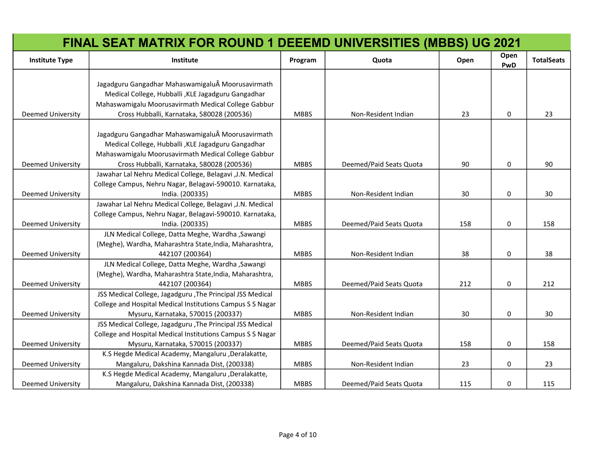|                          | FINAL SEAT MATRIX FOR ROUND 1 DEEEMD UNIVERSITIES (MBBS) UG 2021                                                                                                                                             |             |                         |      |             |                   |
|--------------------------|--------------------------------------------------------------------------------------------------------------------------------------------------------------------------------------------------------------|-------------|-------------------------|------|-------------|-------------------|
| <b>Institute Type</b>    | Institute                                                                                                                                                                                                    | Program     | Quota                   | Open | Open<br>PwD | <b>TotalSeats</b> |
| <b>Deemed University</b> | Jagadguru Gangadhar Mahaswamigalu Moorusavirmath<br>Medical College, Hubballi , KLE Jagadguru Gangadhar<br>Mahaswamigalu Moorusavirmath Medical College Gabbur<br>Cross Hubballi, Karnataka, 580028 (200536) | <b>MBBS</b> | Non-Resident Indian     | 23   | 0           | 23                |
| <b>Deemed University</b> | Jagadguru Gangadhar Mahaswamigalu Moorusavirmath<br>Medical College, Hubballi , KLE Jagadguru Gangadhar<br>Mahaswamigalu Moorusavirmath Medical College Gabbur<br>Cross Hubballi, Karnataka, 580028 (200536) | <b>MBBS</b> | Deemed/Paid Seats Quota | 90   | 0           | 90                |
| <b>Deemed University</b> | Jawahar Lal Nehru Medical College, Belagavi , J.N. Medical<br>College Campus, Nehru Nagar, Belagavi-590010. Karnataka,<br>India. (200335)                                                                    | <b>MBBS</b> | Non-Resident Indian     | 30   | 0           | 30                |
| <b>Deemed University</b> | Jawahar Lal Nehru Medical College, Belagavi , J.N. Medical<br>College Campus, Nehru Nagar, Belagavi-590010. Karnataka,<br>India. (200335)                                                                    | <b>MBBS</b> | Deemed/Paid Seats Quota | 158  | 0           | 158               |
| <b>Deemed University</b> | JLN Medical College, Datta Meghe, Wardha , Sawangi<br>(Meghe), Wardha, Maharashtra State, India, Maharashtra,<br>442107 (200364)                                                                             | <b>MBBS</b> | Non-Resident Indian     | 38   | 0           | 38                |
| <b>Deemed University</b> | JLN Medical College, Datta Meghe, Wardha , Sawangi<br>(Meghe), Wardha, Maharashtra State, India, Maharashtra,<br>442107 (200364)                                                                             | <b>MBBS</b> | Deemed/Paid Seats Quota | 212  | 0           | 212               |
| <b>Deemed University</b> | JSS Medical College, Jagadguru , The Principal JSS Medical<br>College and Hospital Medical Institutions Campus S S Nagar<br>Mysuru, Karnataka, 570015 (200337)                                               | <b>MBBS</b> | Non-Resident Indian     | 30   | 0           | 30                |
| <b>Deemed University</b> | JSS Medical College, Jagadguru , The Principal JSS Medical<br>College and Hospital Medical Institutions Campus S S Nagar<br>Mysuru, Karnataka, 570015 (200337)                                               | <b>MBBS</b> | Deemed/Paid Seats Quota | 158  | 0           | 158               |
| <b>Deemed University</b> | K.S Hegde Medical Academy, Mangaluru ,Deralakatte,<br>Mangaluru, Dakshina Kannada Dist, (200338)                                                                                                             | <b>MBBS</b> | Non-Resident Indian     | 23   | 0           | 23                |
| <b>Deemed University</b> | K.S Hegde Medical Academy, Mangaluru , Deralakatte,<br>Mangaluru, Dakshina Kannada Dist, (200338)                                                                                                            | <b>MBBS</b> | Deemed/Paid Seats Quota | 115  | 0           | 115               |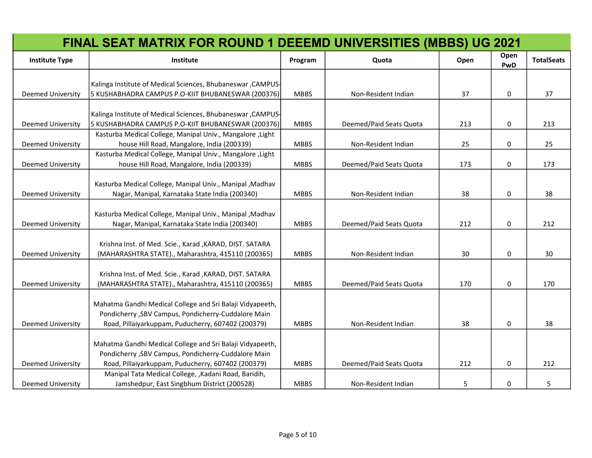|                          | <b>FINAL SEAT MATRIX FOR ROUND 1 DEEEMD UNIVERSITIES (MBBS) UG 2021</b>                                           |             |                         |      |             |                   |
|--------------------------|-------------------------------------------------------------------------------------------------------------------|-------------|-------------------------|------|-------------|-------------------|
| <b>Institute Type</b>    | Institute                                                                                                         | Program     | Quota                   | Open | Open<br>PwD | <b>TotalSeats</b> |
|                          | Kalinga Institute of Medical Sciences, Bhubaneswar, CAMPUS-                                                       |             |                         |      |             |                   |
| <b>Deemed University</b> | 5 KUSHABHADRA CAMPUS P.O-KIIT BHUBANESWAR (200376)                                                                | <b>MBBS</b> | Non-Resident Indian     | 37   | $\mathbf 0$ | 37                |
|                          | Kalinga Institute of Medical Sciences, Bhubaneswar, CAMPUS-                                                       |             |                         |      |             |                   |
| <b>Deemed University</b> | 5 KUSHABHADRA CAMPUS P.O-KIIT BHUBANESWAR (200376)                                                                | <b>MBBS</b> | Deemed/Paid Seats Quota | 213  | 0           | 213               |
|                          | Kasturba Medical College, Manipal Univ., Mangalore, Light                                                         |             |                         |      |             |                   |
| <b>Deemed University</b> | house Hill Road, Mangalore, India (200339)                                                                        | <b>MBBS</b> | Non-Resident Indian     | 25   | 0           | 25                |
| <b>Deemed University</b> | Kasturba Medical College, Manipal Univ., Mangalore, Light<br>house Hill Road, Mangalore, India (200339)           | <b>MBBS</b> | Deemed/Paid Seats Quota | 173  | $\pmb{0}$   | 173               |
|                          |                                                                                                                   |             |                         |      |             |                   |
|                          | Kasturba Medical College, Manipal Univ., Manipal, Madhav                                                          |             |                         |      |             |                   |
| <b>Deemed University</b> | Nagar, Manipal, Karnataka State India (200340)                                                                    | <b>MBBS</b> | Non-Resident Indian     | 38   | 0           | 38                |
|                          |                                                                                                                   |             |                         |      |             |                   |
|                          | Kasturba Medical College, Manipal Univ., Manipal, Madhav                                                          |             |                         |      |             |                   |
| <b>Deemed University</b> | Nagar, Manipal, Karnataka State India (200340)                                                                    | <b>MBBS</b> | Deemed/Paid Seats Quota | 212  | 0           | 212               |
|                          | Krishna Inst. of Med. Scie., Karad , KARAD, DIST. SATARA                                                          |             |                         |      |             |                   |
| <b>Deemed University</b> | (MAHARASHTRA STATE)., Maharashtra, 415110 (200365)                                                                | <b>MBBS</b> | Non-Resident Indian     | 30   | 0           | 30                |
|                          |                                                                                                                   |             |                         |      |             |                   |
|                          | Krishna Inst. of Med. Scie., Karad , KARAD, DIST. SATARA                                                          |             |                         |      |             |                   |
| <b>Deemed University</b> | (MAHARASHTRA STATE)., Maharashtra, 415110 (200365)                                                                | <b>MBBS</b> | Deemed/Paid Seats Quota | 170  | 0           | 170               |
|                          |                                                                                                                   |             |                         |      |             |                   |
|                          | Mahatma Gandhi Medical College and Sri Balaji Vidyapeeth,<br>Pondicherry , SBV Campus, Pondicherry-Cuddalore Main |             |                         |      |             |                   |
| <b>Deemed University</b> | Road, Pillaiyarkuppam, Puducherry, 607402 (200379)                                                                | <b>MBBS</b> | Non-Resident Indian     | 38   | 0           | 38                |
|                          |                                                                                                                   |             |                         |      |             |                   |
|                          | Mahatma Gandhi Medical College and Sri Balaji Vidyapeeth,                                                         |             |                         |      |             |                   |
|                          | Pondicherry , SBV Campus, Pondicherry-Cuddalore Main                                                              |             |                         |      |             |                   |
| <b>Deemed University</b> | Road, Pillaiyarkuppam, Puducherry, 607402 (200379)                                                                | <b>MBBS</b> | Deemed/Paid Seats Quota | 212  | 0           | 212               |
|                          | Manipal Tata Medical College, , Kadani Road, Baridih,                                                             |             |                         |      |             |                   |
| <b>Deemed University</b> | Jamshedpur, East Singbhum District (200528)                                                                       | <b>MBBS</b> | Non-Resident Indian     | 5    | 0           | 5                 |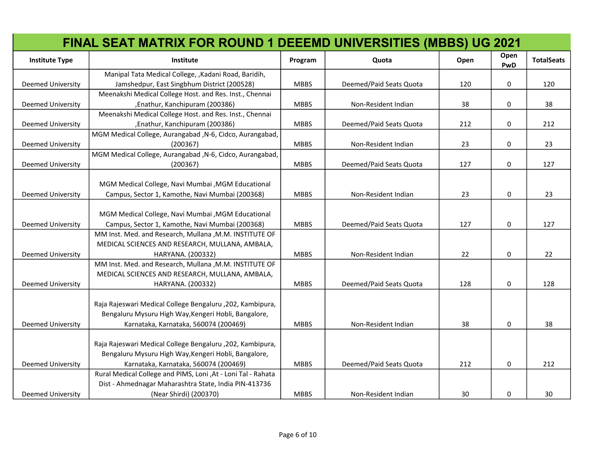|                          | <b>FINAL SEAT MATRIX FOR ROUND 1 DEEEMD UNIVERSITIES (MBBS) UG 2021</b> |             |                         |      |             |                   |
|--------------------------|-------------------------------------------------------------------------|-------------|-------------------------|------|-------------|-------------------|
| <b>Institute Type</b>    | Institute                                                               | Program     | Quota                   | Open | Open<br>PwD | <b>TotalSeats</b> |
|                          | Manipal Tata Medical College, , Kadani Road, Baridih,                   |             |                         |      |             |                   |
| <b>Deemed University</b> | Jamshedpur, East Singbhum District (200528)                             | <b>MBBS</b> | Deemed/Paid Seats Quota | 120  | $\mathbf 0$ | 120               |
|                          | Meenakshi Medical College Host. and Res. Inst., Chennai                 |             |                         |      |             |                   |
| <b>Deemed University</b> | , Enathur, Kanchipuram (200386)                                         | <b>MBBS</b> | Non-Resident Indian     | 38   | $\mathbf 0$ | 38                |
|                          | Meenakshi Medical College Host. and Res. Inst., Chennai                 |             |                         |      |             |                   |
| <b>Deemed University</b> | , Enathur, Kanchipuram (200386)                                         | <b>MBBS</b> | Deemed/Paid Seats Quota | 212  | $\mathbf 0$ | 212               |
|                          | MGM Medical College, Aurangabad , N-6, Cidco, Aurangabad,               |             |                         |      |             |                   |
| <b>Deemed University</b> | (200367)                                                                | <b>MBBS</b> | Non-Resident Indian     | 23   | $\mathbf 0$ | 23                |
|                          | MGM Medical College, Aurangabad , N-6, Cidco, Aurangabad,               |             |                         |      |             |                   |
| <b>Deemed University</b> | (200367)                                                                | <b>MBBS</b> | Deemed/Paid Seats Quota | 127  | 0           | 127               |
|                          | MGM Medical College, Navi Mumbai, MGM Educational                       |             |                         |      |             |                   |
| <b>Deemed University</b> | Campus, Sector 1, Kamothe, Navi Mumbai (200368)                         | <b>MBBS</b> | Non-Resident Indian     | 23   | 0           | 23                |
|                          |                                                                         |             |                         |      |             |                   |
|                          | MGM Medical College, Navi Mumbai , MGM Educational                      |             |                         |      |             |                   |
| <b>Deemed University</b> | Campus, Sector 1, Kamothe, Navi Mumbai (200368)                         | <b>MBBS</b> | Deemed/Paid Seats Quota | 127  | 0           | 127               |
|                          | MM Inst. Med. and Research, Mullana, M.M. INSTITUTE OF                  |             |                         |      |             |                   |
|                          | MEDICAL SCIENCES AND RESEARCH, MULLANA, AMBALA,                         |             |                         |      |             |                   |
| <b>Deemed University</b> | HARYANA. (200332)                                                       | <b>MBBS</b> | Non-Resident Indian     | 22   | 0           | 22                |
|                          | MM Inst. Med. and Research, Mullana , M.M. INSTITUTE OF                 |             |                         |      |             |                   |
|                          | MEDICAL SCIENCES AND RESEARCH, MULLANA, AMBALA,                         |             |                         |      |             |                   |
| <b>Deemed University</b> | HARYANA. (200332)                                                       | <b>MBBS</b> | Deemed/Paid Seats Quota | 128  | 0           | 128               |
|                          |                                                                         |             |                         |      |             |                   |
|                          | Raja Rajeswari Medical College Bengaluru , 202, Kambipura,              |             |                         |      |             |                   |
|                          | Bengaluru Mysuru High Way, Kengeri Hobli, Bangalore,                    |             |                         |      |             |                   |
| <b>Deemed University</b> | Karnataka, Karnataka, 560074 (200469)                                   | <b>MBBS</b> | Non-Resident Indian     | 38   | 0           | 38                |
|                          |                                                                         |             |                         |      |             |                   |
|                          | Raja Rajeswari Medical College Bengaluru , 202, Kambipura,              |             |                         |      |             |                   |
|                          | Bengaluru Mysuru High Way, Kengeri Hobli, Bangalore,                    |             |                         |      |             |                   |
| <b>Deemed University</b> | Karnataka, Karnataka, 560074 (200469)                                   | <b>MBBS</b> | Deemed/Paid Seats Quota | 212  | 0           | 212               |
|                          | Rural Medical College and PIMS, Loni , At - Loni Tal - Rahata           |             |                         |      |             |                   |
|                          | Dist - Ahmednagar Maharashtra State, India PIN-413736                   |             |                         |      |             |                   |
| <b>Deemed University</b> | (Near Shirdi) (200370)                                                  | <b>MBBS</b> | Non-Resident Indian     | 30   | 0           | 30                |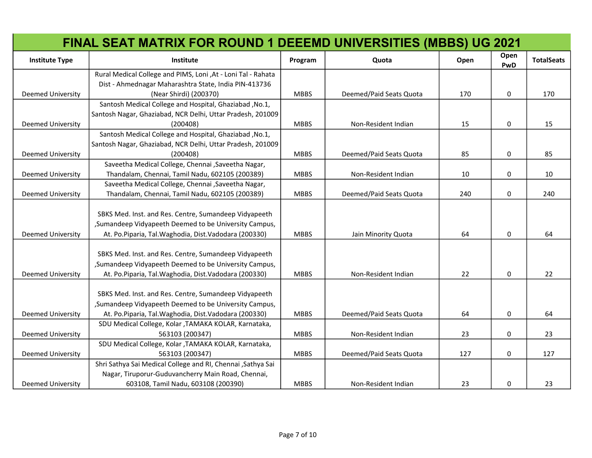|                          | <b>FINAL SEAT MATRIX FOR ROUND 1 DEEEMD UNIVERSITIES (MBBS) UG 2021</b> |             |                         |      |             |                   |
|--------------------------|-------------------------------------------------------------------------|-------------|-------------------------|------|-------------|-------------------|
| <b>Institute Type</b>    | Institute                                                               | Program     | Quota                   | Open | Open<br>PwD | <b>TotalSeats</b> |
|                          | Rural Medical College and PIMS, Loni , At - Loni Tal - Rahata           |             |                         |      |             |                   |
|                          | Dist - Ahmednagar Maharashtra State, India PIN-413736                   |             |                         |      |             |                   |
| <b>Deemed University</b> | (Near Shirdi) (200370)                                                  | <b>MBBS</b> | Deemed/Paid Seats Quota | 170  | $\mathbf 0$ | 170               |
|                          | Santosh Medical College and Hospital, Ghaziabad, No.1,                  |             |                         |      |             |                   |
|                          | Santosh Nagar, Ghaziabad, NCR Delhi, Uttar Pradesh, 201009              |             |                         |      |             |                   |
| <b>Deemed University</b> | (200408)                                                                | <b>MBBS</b> | Non-Resident Indian     | 15   | 0           | 15                |
|                          | Santosh Medical College and Hospital, Ghaziabad, No.1,                  |             |                         |      |             |                   |
|                          | Santosh Nagar, Ghaziabad, NCR Delhi, Uttar Pradesh, 201009              |             |                         |      |             |                   |
| <b>Deemed University</b> | (200408)                                                                | <b>MBBS</b> | Deemed/Paid Seats Quota | 85   | 0           | 85                |
|                          | Saveetha Medical College, Chennai , Saveetha Nagar,                     |             |                         |      |             |                   |
| <b>Deemed University</b> | Thandalam, Chennai, Tamil Nadu, 602105 (200389)                         | <b>MBBS</b> | Non-Resident Indian     | 10   | 0           | 10                |
|                          | Saveetha Medical College, Chennai , Saveetha Nagar,                     |             |                         |      |             |                   |
| <b>Deemed University</b> | Thandalam, Chennai, Tamil Nadu, 602105 (200389)                         | <b>MBBS</b> | Deemed/Paid Seats Quota | 240  | 0           | 240               |
|                          |                                                                         |             |                         |      |             |                   |
|                          | SBKS Med. Inst. and Res. Centre, Sumandeep Vidyapeeth                   |             |                         |      |             |                   |
|                          | , Sumandeep Vidyapeeth Deemed to be University Campus,                  |             |                         |      |             |                   |
| <b>Deemed University</b> | At. Po.Piparia, Tal. Waghodia, Dist. Vadodara (200330)                  | <b>MBBS</b> | Jain Minority Quota     | 64   | 0           | 64                |
|                          |                                                                         |             |                         |      |             |                   |
|                          | SBKS Med. Inst. and Res. Centre, Sumandeep Vidyapeeth                   |             |                         |      |             |                   |
|                          | , Sumandeep Vidyapeeth Deemed to be University Campus,                  |             |                         |      |             |                   |
| <b>Deemed University</b> | At. Po.Piparia, Tal. Waghodia, Dist. Vadodara (200330)                  | <b>MBBS</b> | Non-Resident Indian     | 22   | 0           | 22                |
|                          |                                                                         |             |                         |      |             |                   |
|                          | SBKS Med. Inst. and Res. Centre, Sumandeep Vidyapeeth                   |             |                         |      |             |                   |
|                          | , Sumandeep Vidyapeeth Deemed to be University Campus,                  |             |                         |      |             |                   |
| <b>Deemed University</b> | At. Po.Piparia, Tal. Waghodia, Dist. Vadodara (200330)                  | <b>MBBS</b> | Deemed/Paid Seats Quota | 64   | 0           | 64                |
|                          | SDU Medical College, Kolar , TAMAKA KOLAR, Karnataka,                   |             |                         |      |             |                   |
| <b>Deemed University</b> | 563103 (200347)                                                         | <b>MBBS</b> | Non-Resident Indian     | 23   | 0           | 23                |
|                          | SDU Medical College, Kolar , TAMAKA KOLAR, Karnataka,                   |             |                         |      |             |                   |
| <b>Deemed University</b> | 563103 (200347)                                                         | <b>MBBS</b> | Deemed/Paid Seats Quota | 127  | 0           | 127               |
|                          | Shri Sathya Sai Medical College and RI, Chennai , Sathya Sai            |             |                         |      |             |                   |
|                          | Nagar, Tiruporur-Guduvancherry Main Road, Chennai,                      |             |                         |      |             |                   |
| <b>Deemed University</b> | 603108, Tamil Nadu, 603108 (200390)                                     | <b>MBBS</b> | Non-Resident Indian     | 23   | 0           | 23                |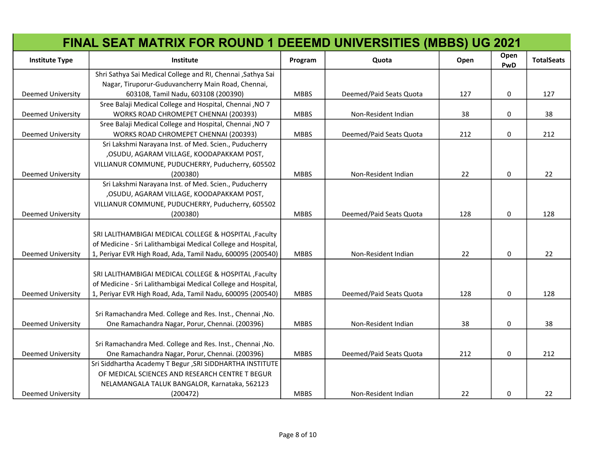|                          | <b>FINAL SEAT MATRIX FOR ROUND 1 DEEEMD UNIVERSITIES (MBBS) UG 2021</b> |             |                         |      |             |                   |
|--------------------------|-------------------------------------------------------------------------|-------------|-------------------------|------|-------------|-------------------|
| <b>Institute Type</b>    | <b>Institute</b>                                                        | Program     | Quota                   | Open | Open<br>PwD | <b>TotalSeats</b> |
|                          | Shri Sathya Sai Medical College and RI, Chennai , Sathya Sai            |             |                         |      |             |                   |
|                          | Nagar, Tiruporur-Guduvancherry Main Road, Chennai,                      |             |                         |      |             |                   |
| <b>Deemed University</b> | 603108, Tamil Nadu, 603108 (200390)                                     | <b>MBBS</b> | Deemed/Paid Seats Quota | 127  | 0           | 127               |
|                          | Sree Balaji Medical College and Hospital, Chennai , NO 7                |             |                         |      |             |                   |
| <b>Deemed University</b> | WORKS ROAD CHROMEPET CHENNAI (200393)                                   | <b>MBBS</b> | Non-Resident Indian     | 38   | 0           | 38                |
|                          | Sree Balaji Medical College and Hospital, Chennai , NO 7                |             |                         |      |             |                   |
| <b>Deemed University</b> | WORKS ROAD CHROMEPET CHENNAI (200393)                                   | <b>MBBS</b> | Deemed/Paid Seats Quota | 212  | 0           | 212               |
|                          | Sri Lakshmi Narayana Inst. of Med. Scien., Puducherry                   |             |                         |      |             |                   |
|                          | , OSUDU, AGARAM VILLAGE, KOODAPAKKAM POST,                              |             |                         |      |             |                   |
|                          | VILLIANUR COMMUNE, PUDUCHERRY, Puducherry, 605502                       |             |                         |      |             |                   |
| <b>Deemed University</b> | (200380)                                                                | <b>MBBS</b> | Non-Resident Indian     | 22   | 0           | 22                |
|                          | Sri Lakshmi Narayana Inst. of Med. Scien., Puducherry                   |             |                         |      |             |                   |
|                          | , OSUDU, AGARAM VILLAGE, KOODAPAKKAM POST,                              |             |                         |      |             |                   |
|                          | VILLIANUR COMMUNE, PUDUCHERRY, Puducherry, 605502                       |             |                         |      |             |                   |
| <b>Deemed University</b> | (200380)                                                                | <b>MBBS</b> | Deemed/Paid Seats Quota | 128  | $\Omega$    | 128               |
|                          |                                                                         |             |                         |      |             |                   |
|                          | SRI LALITHAMBIGAI MEDICAL COLLEGE & HOSPITAL , Faculty                  |             |                         |      |             |                   |
|                          | of Medicine - Sri Lalithambigai Medical College and Hospital,           |             |                         |      |             |                   |
| <b>Deemed University</b> | 1, Periyar EVR High Road, Ada, Tamil Nadu, 600095 (200540)              | <b>MBBS</b> | Non-Resident Indian     | 22   | 0           | 22                |
|                          |                                                                         |             |                         |      |             |                   |
|                          | SRI LALITHAMBIGAI MEDICAL COLLEGE & HOSPITAL , Faculty                  |             |                         |      |             |                   |
|                          | of Medicine - Sri Lalithambigai Medical College and Hospital,           |             |                         |      |             |                   |
| <b>Deemed University</b> | 1, Periyar EVR High Road, Ada, Tamil Nadu, 600095 (200540)              | <b>MBBS</b> | Deemed/Paid Seats Quota | 128  | 0           | 128               |
|                          |                                                                         |             |                         |      |             |                   |
|                          | Sri Ramachandra Med. College and Res. Inst., Chennai, No.               |             |                         |      |             |                   |
| <b>Deemed University</b> | One Ramachandra Nagar, Porur, Chennai. (200396)                         | <b>MBBS</b> | Non-Resident Indian     | 38   | 0           | 38                |
|                          |                                                                         |             |                         |      |             |                   |
|                          | Sri Ramachandra Med. College and Res. Inst., Chennai, No.               |             |                         |      |             |                   |
| <b>Deemed University</b> | One Ramachandra Nagar, Porur, Chennai. (200396)                         | <b>MBBS</b> | Deemed/Paid Seats Quota | 212  | 0           | 212               |
|                          | Sri Siddhartha Academy T Begur , SRI SIDDHARTHA INSTITUTE               |             |                         |      |             |                   |
|                          | OF MEDICAL SCIENCES AND RESEARCH CENTRE T BEGUR                         |             |                         |      |             |                   |
|                          | NELAMANGALA TALUK BANGALOR, Karnataka, 562123                           |             |                         |      |             |                   |
| <b>Deemed University</b> | (200472)                                                                | <b>MBBS</b> | Non-Resident Indian     | 22   | 0           | 22                |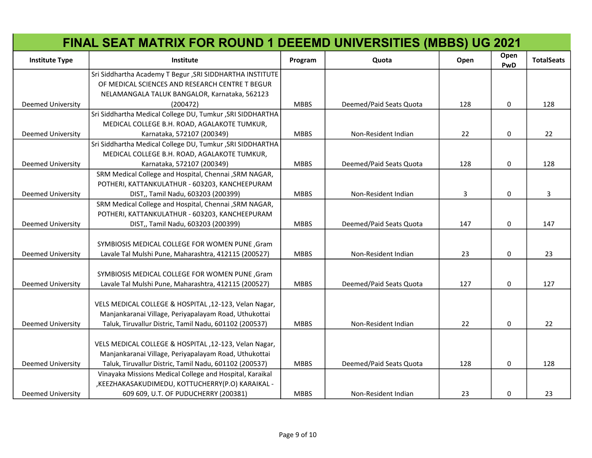|                          | <b>FINAL SEAT MATRIX FOR ROUND 1 DEEEMD UNIVERSITIES (MBBS) UG 2021</b> |             |                         |      |             |                   |
|--------------------------|-------------------------------------------------------------------------|-------------|-------------------------|------|-------------|-------------------|
| <b>Institute Type</b>    | <b>Institute</b>                                                        | Program     | Quota                   | Open | Open<br>PwD | <b>TotalSeats</b> |
|                          | Sri Siddhartha Academy T Begur , SRI SIDDHARTHA INSTITUTE               |             |                         |      |             |                   |
|                          | OF MEDICAL SCIENCES AND RESEARCH CENTRE T BEGUR                         |             |                         |      |             |                   |
|                          | NELAMANGALA TALUK BANGALOR, Karnataka, 562123                           |             |                         |      |             |                   |
| <b>Deemed University</b> | (200472)                                                                | <b>MBBS</b> | Deemed/Paid Seats Quota | 128  | $\mathbf 0$ | 128               |
|                          | Sri Siddhartha Medical College DU, Tumkur, SRI SIDDHARTHA               |             |                         |      |             |                   |
|                          | MEDICAL COLLEGE B.H. ROAD, AGALAKOTE TUMKUR,                            |             |                         |      |             |                   |
| <b>Deemed University</b> | Karnataka, 572107 (200349)                                              | <b>MBBS</b> | Non-Resident Indian     | 22   | 0           | 22                |
|                          | Sri Siddhartha Medical College DU, Tumkur, SRI SIDDHARTHA               |             |                         |      |             |                   |
|                          | MEDICAL COLLEGE B.H. ROAD, AGALAKOTE TUMKUR,                            |             |                         |      |             |                   |
| <b>Deemed University</b> | Karnataka, 572107 (200349)                                              | <b>MBBS</b> | Deemed/Paid Seats Quota | 128  | 0           | 128               |
|                          | SRM Medical College and Hospital, Chennai, SRM NAGAR,                   |             |                         |      |             |                   |
|                          | POTHERI, KATTANKULATHUR - 603203, KANCHEEPURAM                          |             |                         |      |             |                   |
| <b>Deemed University</b> | DIST,, Tamil Nadu, 603203 (200399)                                      | <b>MBBS</b> | Non-Resident Indian     | 3    | 0           | 3                 |
|                          | SRM Medical College and Hospital, Chennai , SRM NAGAR,                  |             |                         |      |             |                   |
|                          | POTHERI, KATTANKULATHUR - 603203, KANCHEEPURAM                          |             |                         |      |             |                   |
| <b>Deemed University</b> | DIST,, Tamil Nadu, 603203 (200399)                                      | <b>MBBS</b> | Deemed/Paid Seats Quota | 147  | 0           | 147               |
|                          |                                                                         |             |                         |      |             |                   |
|                          | SYMBIOSIS MEDICAL COLLEGE FOR WOMEN PUNE, Gram                          |             |                         |      |             |                   |
| <b>Deemed University</b> | Lavale Tal Mulshi Pune, Maharashtra, 412115 (200527)                    | <b>MBBS</b> | Non-Resident Indian     | 23   | 0           | 23                |
|                          |                                                                         |             |                         |      |             |                   |
|                          | SYMBIOSIS MEDICAL COLLEGE FOR WOMEN PUNE, Gram                          |             |                         |      |             |                   |
| <b>Deemed University</b> | Lavale Tal Mulshi Pune, Maharashtra, 412115 (200527)                    | <b>MBBS</b> | Deemed/Paid Seats Quota | 127  | 0           | 127               |
|                          |                                                                         |             |                         |      |             |                   |
|                          | VELS MEDICAL COLLEGE & HOSPITAL , 12-123, Velan Nagar,                  |             |                         |      |             |                   |
|                          | Manjankaranai Village, Periyapalayam Road, Uthukottai                   |             |                         |      |             |                   |
| <b>Deemed University</b> | Taluk, Tiruvallur Distric, Tamil Nadu, 601102 (200537)                  | <b>MBBS</b> | Non-Resident Indian     | 22   | 0           | 22                |
|                          |                                                                         |             |                         |      |             |                   |
|                          | VELS MEDICAL COLLEGE & HOSPITAL , 12-123, Velan Nagar,                  |             |                         |      |             |                   |
|                          | Manjankaranai Village, Periyapalayam Road, Uthukottai                   |             |                         |      |             |                   |
| Deemed University        | Taluk, Tiruvallur Distric, Tamil Nadu, 601102 (200537)                  | <b>MBBS</b> | Deemed/Paid Seats Quota | 128  | 0           | 128               |
|                          | Vinayaka Missions Medical College and Hospital, Karaikal                |             |                         |      |             |                   |
|                          | , KEEZHAKASAKUDIMEDU, KOTTUCHERRY(P.O) KARAIKAL -                       |             |                         |      |             |                   |
| <b>Deemed University</b> | 609 609, U.T. OF PUDUCHERRY (200381)                                    | <b>MBBS</b> | Non-Resident Indian     | 23   | 0           | 23                |